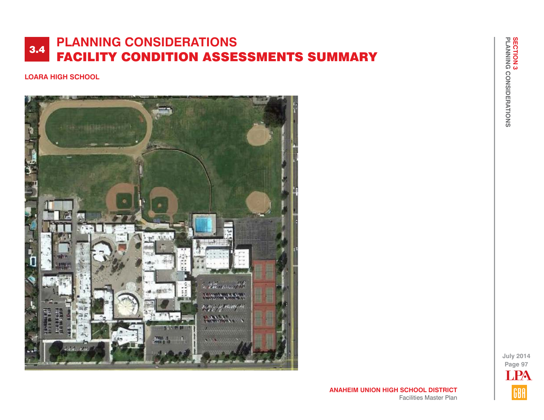### **LOARA HIGH SCHOOL**



**July 2014 Page 97** LPAGBA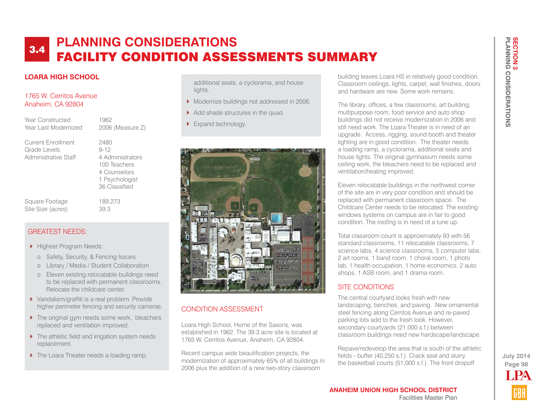## **LOARA HIGH SCHOOL**

#### 1765 W. Cerritos Avenue Anaheim, CA 92804

Year Constructed 1962 Year Last Modernized 2006 (Measure Z)

Current Enrollment 2480 Grade Levels 9-12 Administrative Staff 4 Administrators

 100 Teachers 4 Counselors 1 Psychologist 36 Classified

Square Footage 189,273 Site Size (acres) 39.3

#### GREATEST NEEDS:

- Highest Program Needs:
	- o Safety, Security, & Fencing Issues
	- o Library / Media / Student Collaboration
	- o Eleven existing relocatable buildings need to be replaced with permanent classrooms. Relocate the childcare center.
- ▶ Vandalism/graffiti is a real problem. Provide higher perimeter fencing and security cameras.
- ▶ The original gym needs some work, bleachers replaced and ventilation improved.
- ▶ The athletic field and irrigation system needs replacement.
- ▶ The Loara Theater needs a loading ramp,

additional seats, a cyclorama, and house lights.

- Modernize buildings not addressed in 2006.
- Add shade structures in the quad.
- Expand technology.



## CONDITION ASSESSMENT

Loara High School, Home of the Saxons, was established in 1962. The 39.3 acre site is located at 1765 W. Cerritos Avenue, Anaheim, CA 92804.

Recent campus wide beautification projects, the modernization of approximately 65% of all buildings in 2006 plus the addition of a new two-story classroom

building leaves Loara HS in relatively good condition. Classroom ceilings, lights, carpet, wall finishes, doors and hardware are new. Some work remains.

The library, offices, a few classrooms, art building, multipurpose room, food service and auto shop buildings did not receive modernization in 2006 and still need work. The Loara Theater is in need of an upgrade. Access, rigging, sound booth and theater lighting are in good condition. The theater needs a loading ramp, a cyclorama, additional seats and house lights. The original gymnasium needs some ceiling work, the bleachers need to be replaced and ventilation/heating improved.

Eleven relocatable buildings in the northwest corner of the site are in very poor condition and should be replaced with permanent classroom space. The Childcare Center needs to be relocated. The existing windows systems on campus are in fair to good condition. The roofing is in need of a tune up.

Total classroom count is approximately 93 with 56 standard classrooms, 11 relocatable classrooms, 7 science labs, 4 science classrooms, 5 computer labs, 2 art rooms, 1 band room, 1 choral room, 1 photo lab, 1 health occupation, 1 home economics, 2 auto shops, 1 ASB room, and 1 drama room.

## SITE CONDITIONS

The central courtyard looks fresh with new landscaping, benches, and paving. New ornamental steel fencing along Cerritos Avenue and re-paved parking lots add to the fresh look. However, secondary courtyards (21,000 s.f.) between classroom buildings need new hardscape/landscape.

Repave/redevelop the area that is south of the athletic fields - buffer (40,250 s.f.). Crack seal and slurry the basketball courts (51,000 s.f.). The front dropoff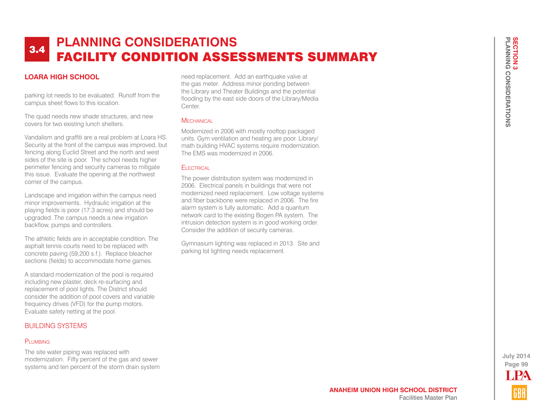## **LOARA HIGH SCHOOL**

parking lot needs to be evaluated. Runoff from the campus sheet flows to this location.

The quad needs new shade structures, and new covers for two existing lunch shelters.

Vandalism and graffiti are a real problem at Loara HS. Security at the front of the campus was improved, but fencing along Euclid Street and the north and west sides of the site is poor. The school needs higher perimeter fencing and security cameras to mitigate this issue. Evaluate the opening at the northwest corner of the campus.

Landscape and irrigation within the campus need minor improvements. Hydraulic irrigation at the playing fields is poor (17.3 acres) and should be upgraded. The campus needs a new irrigation backflow, pumps and controllers.

The athletic fields are in acceptable condition. The asphalt tennis courts need to be replaced with concrete paving (59,200 s.f.). Replace bleacher sections (fields) to accommodate home games.

A standard modernization of the pool is required including new plaster, deck re-surfacing and replacement of pool lights. The District should consider the addition of pool covers and variable frequency drives (VFD) for the pump motors. Evaluate safety netting at the pool.

### BUILDING SYSTEMS

#### PLUMBING

The site water piping was replaced with modernization. Fifty percent of the gas and sewer systems and ten percent of the storm drain system

need replacement. Add an earthquake valve at the gas meter. Address minor ponding between the Library and Theater Buildings and the potential flooding by the east side doors of the Library/Media Center.

### **MECHANICAL**

Modernized in 2006 with mostly rooftop packaged units. Gym ventilation and heating are poor. Library/ math building HVAC systems require modernization. The EMS was modernized in 2006.

#### Electrical

The power distribution system was modernized in 2006. Electrical panels in buildings that were not modernized need replacement. Low voltage systems and fiber backbone were replaced in 2006. The fire alarm system is fully automatic. Add a quantum network card to the existing Bogen PA system. The intrusion detection system is in good working order. Consider the addition of security cameras.

Gymnasium lighting was replaced in 2013. Site and parking lot lighting needs replacement.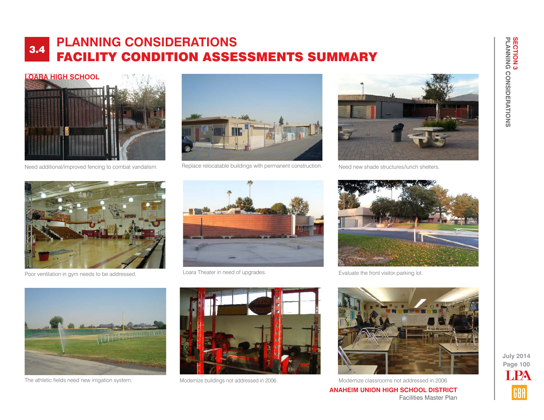![](_page_3_Picture_1.jpeg)

Need additional/improved fencing to combat vandalism.

![](_page_3_Picture_3.jpeg)

Replace relocatable buildings with permanent construction.

![](_page_3_Picture_5.jpeg)

Need new shade structures/lunch shelters.

![](_page_3_Picture_7.jpeg)

Poor ventilation in gym needs to be addressed.

![](_page_3_Picture_9.jpeg)

Loara Theater in need of upgrades.

![](_page_3_Picture_11.jpeg)

Evaluate the front visitor parking lot.

![](_page_3_Picture_13.jpeg)

![](_page_3_Picture_15.jpeg)

![](_page_3_Picture_17.jpeg)

Facilities Master Plan

**ANAHEIM UNION HIGH SCHOOL DISTRICT** The athletic fields need new irrigation system. Modernize buildings not addressed in 2006. Modernize classrooms not addressed in 2006.

**PLANNING CONSIDERATIONS**

**SECTION 3<br>PLANNING CONSIDERATIONS** 

**SECTION 3**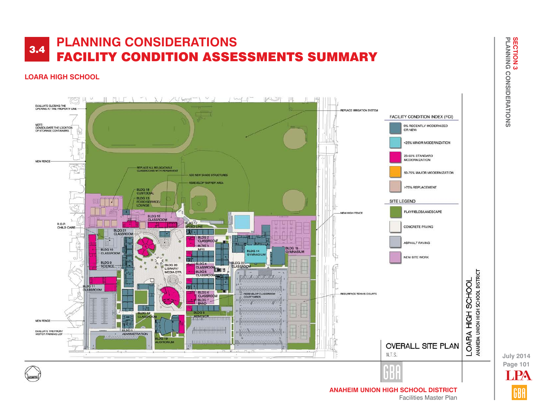## **LOARA HIGH SCHOOL**

![](_page_4_Figure_2.jpeg)

**Page 101 July 2014 T PA**